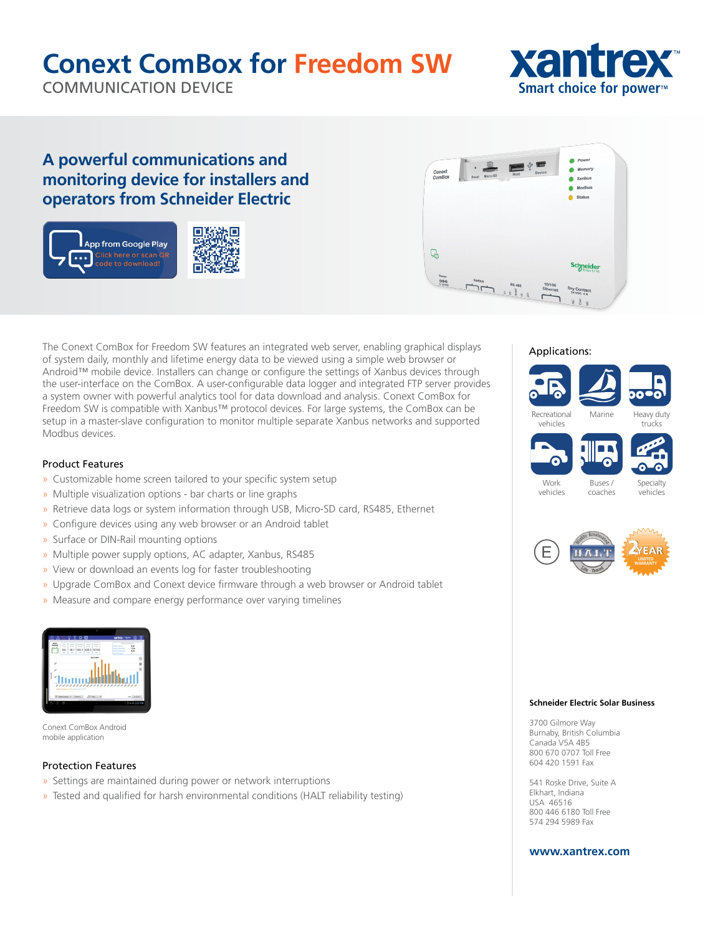# **Conext ComBox for Freedom SW**

. m

COMMUNICATION DEVICE



### **A powerful communications and monitoring device for installers and operators from Schneider Electric**



| Conext<br>ComBox | o.<br>බ<br>Micro-SD<br>Reset | Host          | $\psi =$<br>Device | Power<br>Memory<br>Xanbus<br>Modbus               |
|------------------|------------------------------|---------------|--------------------|---------------------------------------------------|
|                  |                              |               |                    | <b>Status</b>                                     |
| ↳                |                              |               |                    |                                                   |
| Power<br>060     | Xanbus<br>$\overline{1}$     | <b>RS 485</b> | 10/100<br>Ethernet | <b>Schneider</b><br>Dry Contact<br>$24$ VDC $4$ A |

The Conext ComBox for Freedom SW features an integrated web server, enabling graphical displays of system daily, monthly and lifetime energy data to be viewed using a simple web browser or Android™ mobile device. Installers can change or configure the settings of Xanbus devices through the user-interface on the ComBox. A user-configurable data logger and integrated FTP server provides a system owner with powerful analytics tool for data download and analysis. Conext ComBox for Freedom SW is compatible with Xanbus™ protocol devices. For large systems, the ComBox can be setup in a master-slave configuration to monitor multiple separate Xanbus networks and supported Modbus devices.

### Product Features

- » Customizable home screen tailored to your specific system setup
- » Multiple visualization options bar charts or line graphs
- » Retrieve data logs or system information through USB, Micro-SD card, RS485, Ethernet
- » Configure devices using any web browser or an Android tablet
- » Surface or DIN-Rail mounting options
- » Multiple power supply options, AC adapter, Xanbus, RS485
- » View or download an events log for faster troubleshooting
- » Upgrade ComBox and Conext device firmware through a web browser or Android tablet
- » Measure and compare energy performance over varying timelines



Conext ComBox Android mobile application

#### Protection Features

- » Settings are maintained during power or network interruptions
- » Tested and qualified for harsh environmental conditions (HALT reliability testing)

#### Applications:







vehicles





coaches

#### **Schneider Electric Solar Business**

3700 Gilmore Way Burnaby, British Columbia Canada V5A 4B5 800 670 0707 Toll Free 604 420 1591 Fax

541 Roske Drive, Suite A Elkhart, Indiana USA 46516 800 446 6180 Toll Free 574 294 5989 Fax

#### **www.xantrex.com**